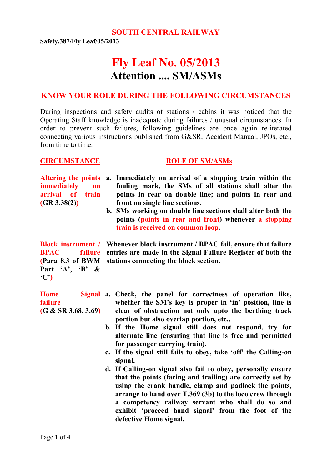**SOUTH CENTRAL RAILWAY**

**Safety.387/Fly Leaf/05/2013**

# **Fly Leaf No. 05/2013 Attention .... SM/ASMs**

#### **KNOW YOUR ROLE DURING THE FOLLOWING CIRCUMSTANCES**

During inspections and safety audits of stations / cabins it was noticed that the Operating Staff knowledge is inadequate during failures / unusual circumstances. In order to prevent such failures, following guidelines are once again re-iterated connecting various instructions published from G&SR, Accident Manual, JPOs, etc., from time to time.

#### **CIRCUMSTANCE ROLE OF SM/ASMs**

**immediately on arrival of train (GR 3.38(2))**

- **Altering the points a. Immediately on arrival of a stopping train within the fouling mark, the SMs of all stations shall alter the points in rear on double line; and points in rear and front on single line sections.**
	- **b. SMs working on double line sections shall alter both the points (points in rear and front) whenever a stopping train is received on common loop.**

**(Para 8.3 of BWM Part 'A', 'B' & 'C')**

**failure (G & SR 3.68, 3.69)**

- **Block instrument / Whenever block instrument / BPAC fail, ensure that failure BPAC failure entries are made in the Signal Failure Register of both the stations connecting the block section.**
- **Home Signal a. Check, the panel for correctness of operation like, whether the SM's key is proper in 'in' position, line is clear of obstruction not only upto the berthing track portion but also overlap portion, etc.,**
	- **b. If the Home signal still does not respond, try for alternate line (ensuring that line is free and permitted for passenger carrying train).**
	- **c. If the signal still fails to obey, take 'off' the Calling-on signal.**
	- **d. If Calling-on signal also fail to obey, personally ensure that the points (facing and trailing) are correctly set by using the crank handle, clamp and padlock the points, arrange to hand over T.369 (3b) to the loco crew through a competency railway servant who shall do so and exhibit 'proceed hand signal' from the foot of the defective Home signal.**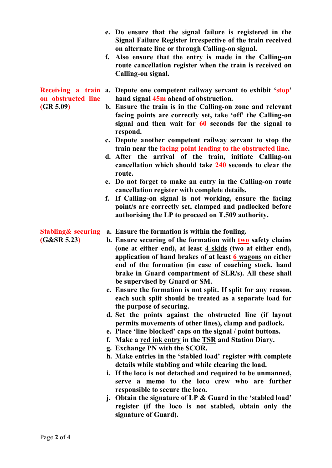- **e. Do ensure that the signal failure is registered in the Signal Failure Register irrespective of the train received on alternate line or through Calling-on signal.**
- **f. Also ensure that the entry is made in the Calling-on route cancellation register when the train is received on Calling-on signal.**
- **Receiving a train a. Depute one competent railway servant to exhibit 'stop' on obstructed line hand signal 45m ahead of obstruction.**
- **(GR 5.09)**
- **b. Ensure the train is in the Calling-on zone and relevant facing points are correctly set, take 'off' the Calling-on signal and then wait for 60 seconds for the signal to respond.**
- **c. Depute another competent railway servant to stop the train near the facing point leading to the obstructed line.**
- **d. After the arrival of the train, initiate Calling-on cancellation which should take 240 seconds to clear the route.**
- **e. Do not forget to make an entry in the Calling-on route cancellation register with complete details.**
- **f. If Calling-on signal is not working, ensure the facing point/s are correctly set, clamped and padlocked before authorising the LP to proceed on T.509 authority.**

- **(G&SR 5.23)**
- **Stabling& securing a. Ensure the formation is within the fouling.**
	- **b. Ensure securing of the formation with two safety chains (one at either end), at least 4 skids (two at either end), application of hand brakes of at least 6 wagons on either end of the formation (in case of coaching stock, hand brake in Guard compartment of SLR/s). All these shall be supervised by Guard or SM.**
		- **c. Ensure the formation is not split. If split for any reason, each such split should be treated as a separate load for the purpose of securing.**
		- **d. Set the points against the obstructed line (if layout permits movements of other lines), clamp and padlock.**
		- **e. Place 'line blocked' caps on the signal / point buttons.**
		- **f. Make a red ink entry in the TSR and Station Diary.**
		- **g. Exchange PN with the SCOR.**
		- **h. Make entries in the 'stabled load' register with complete details while stabling and while clearing the load.**
		- **i. If the loco is not detached and required to be unmanned, serve a memo to the loco crew who are further responsible to secure the loco.**
		- **j. Obtain the signature of LP & Guard in the 'stabled load' register (if the loco is not stabled, obtain only the signature of Guard).**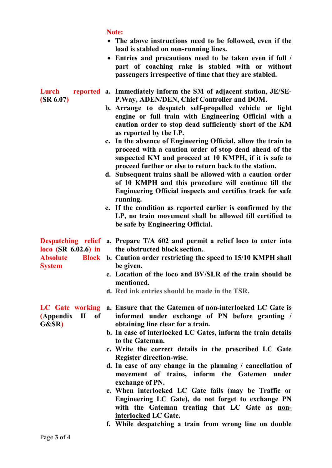|                                                           | Note:<br>• The above instructions need to be followed, even if the<br>load is stabled on non-running lines.<br>• Entries and precautions need to be taken even if full /<br>part of coaching rake is stabled with or without<br>passengers irrespective of time that they are stabled.                                                                                                                                                                                                                                                                                                                                                                                                                                                                                                                                                                                                                                               |
|-----------------------------------------------------------|--------------------------------------------------------------------------------------------------------------------------------------------------------------------------------------------------------------------------------------------------------------------------------------------------------------------------------------------------------------------------------------------------------------------------------------------------------------------------------------------------------------------------------------------------------------------------------------------------------------------------------------------------------------------------------------------------------------------------------------------------------------------------------------------------------------------------------------------------------------------------------------------------------------------------------------|
| Lurch<br>(SR 6.07)                                        | reported a. Immediately inform the SM of adjacent station, JE/SE-<br>P.Way, ADEN/DEN, Chief Controller and DOM.<br>b. Arrange to despatch self-propelled vehicle or light<br>engine or full train with Engineering Official with a<br>caution order to stop dead sufficiently short of the KM<br>as reported by the LP.<br>c. In the absence of Engineering Official, allow the train to<br>proceed with a caution order of stop dead ahead of the<br>suspected KM and proceed at 10 KMPH, if it is safe to<br>proceed further or else to return back to the station.<br>d. Subsequent trains shall be allowed with a caution order<br>of 10 KMPH and this procedure will continue till the<br>Engineering Official inspects and certifies track for safe<br>running.<br>e. If the condition as reported earlier is confirmed by the<br>LP, no train movement shall be allowed till certified to<br>be safe by Engineering Official. |
| $loco$ (SR 6.02.6) in<br><b>Absolute</b><br><b>System</b> | <b>Despatching relief a. Prepare T/A 602 and permit a relief loco to enter into</b><br>the obstructed block section.<br>Block b. Caution order restricting the speed to 15/10 KMPH shall<br>be given.<br>c. Location of the loco and BV/SLR of the train should be<br>mentioned.<br>d. Red ink entries should be made in the TSR.                                                                                                                                                                                                                                                                                                                                                                                                                                                                                                                                                                                                    |
| (Appendix II<br><b>of</b><br>G&SR)                        | LC Gate working a. Ensure that the Gatemen of non-interlocked LC Gate is<br>informed under exchange of PN before granting /<br>obtaining line clear for a train.<br>b. In case of interlocked LC Gates, inform the train details<br>to the Gateman.<br>c. Write the correct details in the prescribed LC Gate<br>Register direction-wise.<br>d. In case of any change in the planning / cancellation of<br>movement of trains, inform the Gatemen under<br>exchange of PN.<br>e. When interlocked LC Gate fails (may be Traffic or<br>Engineering LC Gate), do not forget to exchange PN<br>with the Gateman treating that LC Gate as non-<br>interlocked LC Gate.                                                                                                                                                                                                                                                                   |

**f. While despatching a train from wrong line on double**